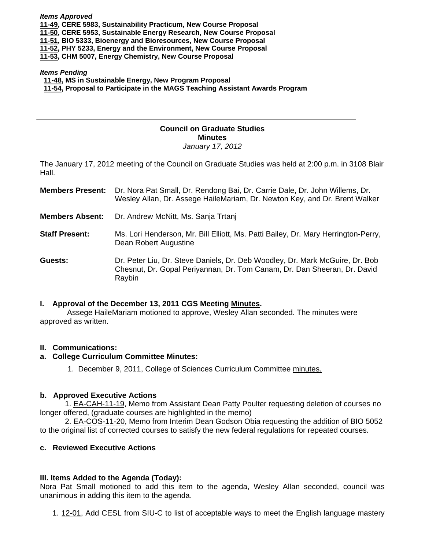*Items Approved*  **[11-49, C](http://castle.eiu.edu/~eiucgs/currentagendaitems/agenda11-49.pdf)ERE 5983, Sustainability Practicum, New Course Proposal [11-50, C](http://castle.eiu.edu/~eiucgs/currentagendaitems/agenda11-50.pdf)ERE 5953, Sustainable Energy Research, New Course Proposal [11-51, B](http://castle.eiu.edu/~eiucgs/currentagendaitems/agenda11-51.pdf)IO 5333, Bioenergy and Bioresources, New Course Proposal [11-52, P](http://castle.eiu.edu/~eiucgs/currentagendaitems/agenda11-52.pdf)HY 5233, Energy and the Environment, New Course Proposal [11-53,](http://castle.eiu.edu/~eiucgs/currentagendaitems/agenda11-53.pdf) CHM 5007, Energy Chemistry, New Course Proposal** 

#### *Items Pending*

 **[11-48, M](http://castle.eiu.edu/~eiucgs/currentagendaitems/agenda11-48.pdf)S in Sustainable Energy, New Program Proposal** 

 **[11-54, Pro](http://castle.eiu.edu/~eiucgs/currentagendaitems/agenda11-54.pdf)posal to Participate in the MAGS Teaching Assistant Awards Program** 

# **Council on Graduate Studies Minutes**

*January 17, 2012* 

The January 17, 2012 meeting of the Council on Graduate Studies was held at 2:00 p.m. in 3108 Blair Hall.

| <b>Members Present:</b> | Dr. Nora Pat Small, Dr. Rendong Bai, Dr. Carrie Dale, Dr. John Willems, Dr.<br>Wesley Allan, Dr. Assege HaileMariam, Dr. Newton Key, and Dr. Brent Walker          |
|-------------------------|--------------------------------------------------------------------------------------------------------------------------------------------------------------------|
| <b>Members Absent:</b>  | Dr. Andrew McNitt, Ms. Sanja Trtanj                                                                                                                                |
| <b>Staff Present:</b>   | Ms. Lori Henderson, Mr. Bill Elliott, Ms. Patti Bailey, Dr. Mary Herrington-Perry,<br>Dean Robert Augustine                                                        |
| Guests:                 | Dr. Peter Liu, Dr. Steve Daniels, Dr. Deb Woodley, Dr. Mark McGuire, Dr. Bob<br>Chesnut, Dr. Gopal Periyannan, Dr. Tom Canam, Dr. Dan Sheeran, Dr. David<br>Raybin |

#### **I. Approval of the December 13, 2011 CGS Meeting [Minutes.](http://castle.eiu.edu/eiucgs/currentminutes/Minutes12-13-11.pdf)**

 Assege HaileMariam motioned to approve, Wesley Allan seconded. The minutes were approved as written.

### **II. Communications:**

#### **a. College Curriculum Committee Minutes:**

1. December 9, 2011, College of Sciences Curriculum Committe[e minutes.](http://castle.eiu.edu/~eiucgs/currentagendaitems/COSMin12-9-11.pdf) 

### **b. Approved Executive Actions**

[1. EA-CAH-11-19, Me](http://castle.eiu.edu/~eiucgs/currentagendaitems/COSMin12-9-11.pdf)mo from Assistant Dean Patty Poulter requesting deletion of courses no longer offered, (graduate courses are highlighted in the memo)

[2. EA-COS-11-20, M](http://castle.eiu.edu/~eiucgs/currentagendaitems/COSMin12-9-11.pdf)emo from Interim Dean Godson Obia requesting the addition of BIO 5052 to the original list of corrected courses to satisfy the new federal regulations for repeated courses.

#### **c. Reviewed Executive Actions**

### **III. Items Added to the Agenda (Today):**

Nora Pat Small motioned to add this item to the agenda, Wesley Allan seconded, council was unanimous in adding this item to the agenda.

1[. 12-01, A](http://castle.eiu.edu/~eiucgs/currentagendaitems/agenda12-01.pdf)dd CESL from SIU-C to list of acceptable ways to meet the English language mastery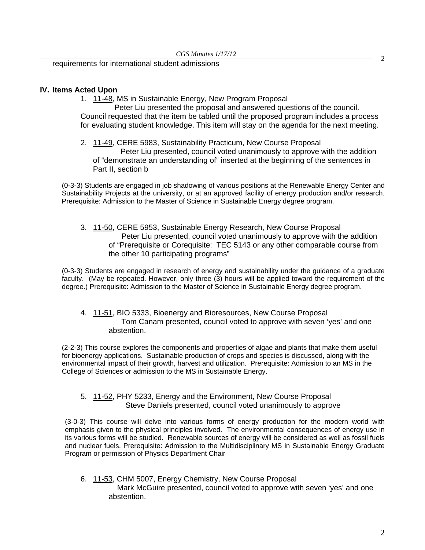<sup>2</sup> requirements for international student admissions

## **IV. Items Acted Upon**

1[. 11-48, M](http://castle.eiu.edu/~eiucgs/currentagendaitems/agenda11-48.pdf)S in Sustainable Energy, New Program Proposal

 Peter Liu presented the proposal and answered questions of the council. Council requested that the item be tabled until the proposed program includes a process for evaluating student knowledge. This item will stay on the agenda for the next meeting.

2[. 11-49, CE](http://castle.eiu.edu/~eiucgs/currentagendaitems/agenda11-49.pdf)RE 5983, Sustainability Practicum, New Course Proposal Peter Liu presented, council voted unanimously to approve with the addition of "demonstrate an understanding of" inserted at the beginning of the sentences in Part II, section b

(0-3-3) Students are engaged in job shadowing of various positions at the Renewable Energy Center and Sustainability Projects at the university, or at an approved facility of energy production and/or research. Prerequisite: Admission to the Master of Science in Sustainable Energy degree program.

[3. 11-50, CE](http://castle.eiu.edu/~eiucgs/currentagendaitems/agenda11-50.pdf)RE 5953, Sustainable Energy Research, New Course Proposal Peter Liu presented, council voted unanimously to approve with the addition of "Prerequisite or Corequisite: TEC 5143 or any other comparable course from the other 10 participating programs"

(0-3-3) Students are engaged in research of energy and sustainability under the guidance of a graduate faculty. (May be repeated. However, only three (3) hours will be applied toward the requirement of the degree.) Prerequisite: Admission to the Master of Science in Sustainable Energy degree program.

4. [11-51, BIO](http://castle.eiu.edu/~eiucgs/currentagendaitems/agenda11-51.pdf) 5333, Bioenergy and Bioresources, New Course Proposal Tom Canam presented, council voted to approve with seven 'yes' and one abstention.

(2-2-3) This course explores the components and properties of algae and plants that make them useful for bioenergy applications. Sustainable production of crops and species is discussed, along with the environmental impact of their growth, harvest and utilization. Prerequisite: Admission to an MS in the College of Sciences or admission to the MS in Sustainable Energy.

[5. 11-52, P](http://castle.eiu.edu/~eiucgs/currentagendaitems/agenda11-52.pdf)HY 5233, Energy and the Environment, New Course Proposal Steve Daniels presented, council voted unanimously to approve

(3-0-3) This course will delve into various forms of energy production for the modern world with emphasis given to the physical principles involved. The environmental consequences of energy use in its various forms will be studied. Renewable sources of energy will be considered as well as fossil fuels and nuclear fuels. Prerequisite: Admission to the Multidisciplinary MS in Sustainable Energy Graduate Program or permission of Physics Department Chair

6. [11-53, C](http://castle.eiu.edu/~eiucgs/currentagendaitems/agenda11-53.pdf)HM 5007, Energy Chemistry, New Course Proposal Mark McGuire presented, council voted to approve with seven 'yes' and one abstention.